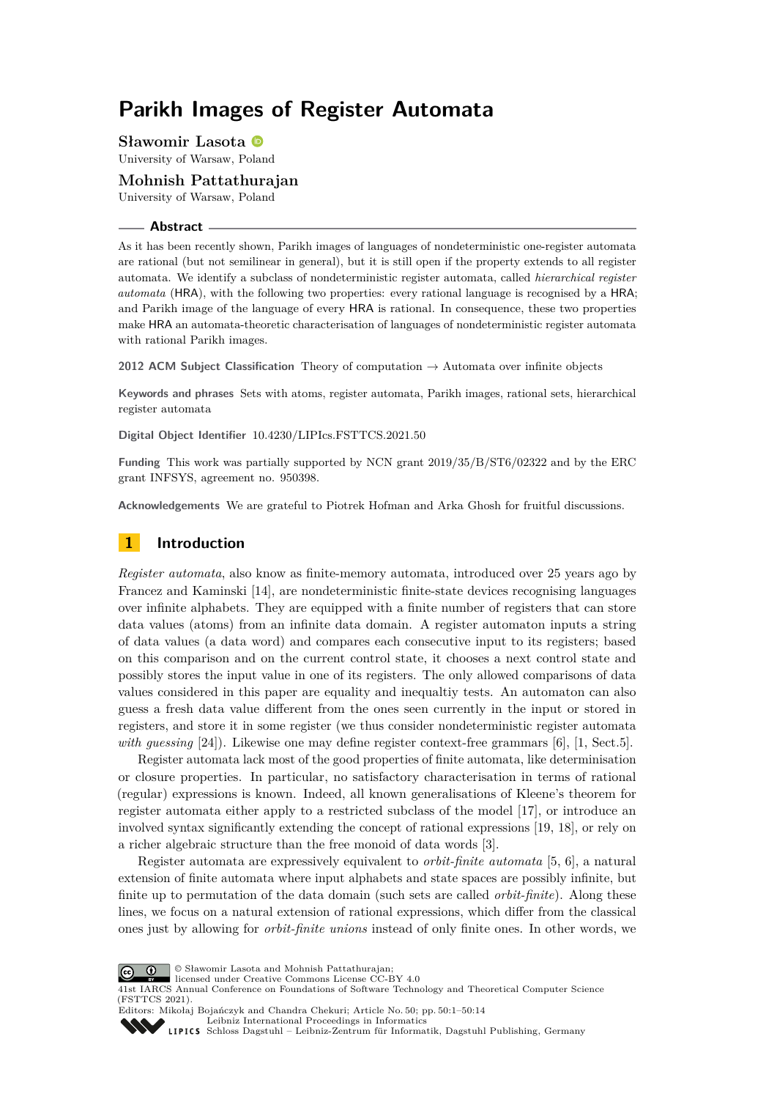# **Parikh Images of Register Automata**

**Sławomir Lasota**

University of Warsaw, Poland

**Mohnish Pattathurajan** University of Warsaw, Poland

#### **Abstract**

As it has been recently shown, Parikh images of languages of nondeterministic one-register automata are rational (but not semilinear in general), but it is still open if the property extends to all register automata. We identify a subclass of nondeterministic register automata, called *hierarchical register automata* (HRA), with the following two properties: every rational language is recognised by a HRA; and Parikh image of the language of every HRA is rational. In consequence, these two properties make HRA an automata-theoretic characterisation of languages of nondeterministic register automata with rational Parikh images.

**2012 ACM Subject Classification** Theory of computation → Automata over infinite objects

**Keywords and phrases** Sets with atoms, register automata, Parikh images, rational sets, hierarchical register automata

**Digital Object Identifier** [10.4230/LIPIcs.FSTTCS.2021.50](https://doi.org/10.4230/LIPIcs.FSTTCS.2021.50)

**Funding** This work was partially supported by NCN grant 2019/35/B/ST6/02322 and by the ERC grant INFSYS, agreement no. 950398.

**Acknowledgements** We are grateful to Piotrek Hofman and Arka Ghosh for fruitful discussions.

# **1 Introduction**

*Register automata*, also know as finite-memory automata, introduced over 25 years ago by Francez and Kaminski [\[14\]](#page-13-0), are nondeterministic finite-state devices recognising languages over infinite alphabets. They are equipped with a finite number of registers that can store data values (atoms) from an infinite data domain. A register automaton inputs a string of data values (a data word) and compares each consecutive input to its registers; based on this comparison and on the current control state, it chooses a next control state and possibly stores the input value in one of its registers. The only allowed comparisons of data values considered in this paper are equality and inequaltiy tests. An automaton can also guess a fresh data value different from the ones seen currently in the input or stored in registers, and store it in some register (we thus consider nondeterministic register automata *with guessing* [\[24\]](#page-13-1)). Likewise one may define register context-free grammars [\[6\]](#page-12-0), [\[1,](#page-12-1) Sect.5].

Register automata lack most of the good properties of finite automata, like determinisation or closure properties. In particular, no satisfactory characterisation in terms of rational (regular) expressions is known. Indeed, all known generalisations of Kleene's theorem for register automata either apply to a restricted subclass of the model [\[17\]](#page-13-2), or introduce an involved syntax significantly extending the concept of rational expressions [\[19,](#page-13-3) [18\]](#page-13-4), or rely on a richer algebraic structure than the free monoid of data words [\[3\]](#page-12-2).

Register automata are expressively equivalent to *orbit-finite automata* [\[5,](#page-12-3) [6\]](#page-12-0), a natural extension of finite automata where input alphabets and state spaces are possibly infinite, but finite up to permutation of the data domain (such sets are called *orbit-finite*). Along these lines, we focus on a natural extension of rational expressions, which differ from the classical ones just by allowing for *orbit-finite unions* instead of only finite ones. In other words, we



© Sławomir Lasota and Mohnish Pattathurajan;

licensed under Creative Commons License CC-BY 4.0

41st IARCS Annual Conference on Foundations of Software Technology and Theoretical Computer Science (FSTTCS 2021).

Editors: Mikołaj Bojańczyk and Chandra Chekuri; Article No. 50; pp. 50:1–50:14 [Leibniz International Proceedings in Informatics](https://www.dagstuhl.de/lipics/)

[Schloss Dagstuhl – Leibniz-Zentrum für Informatik, Dagstuhl Publishing, Germany](https://www.dagstuhl.de)

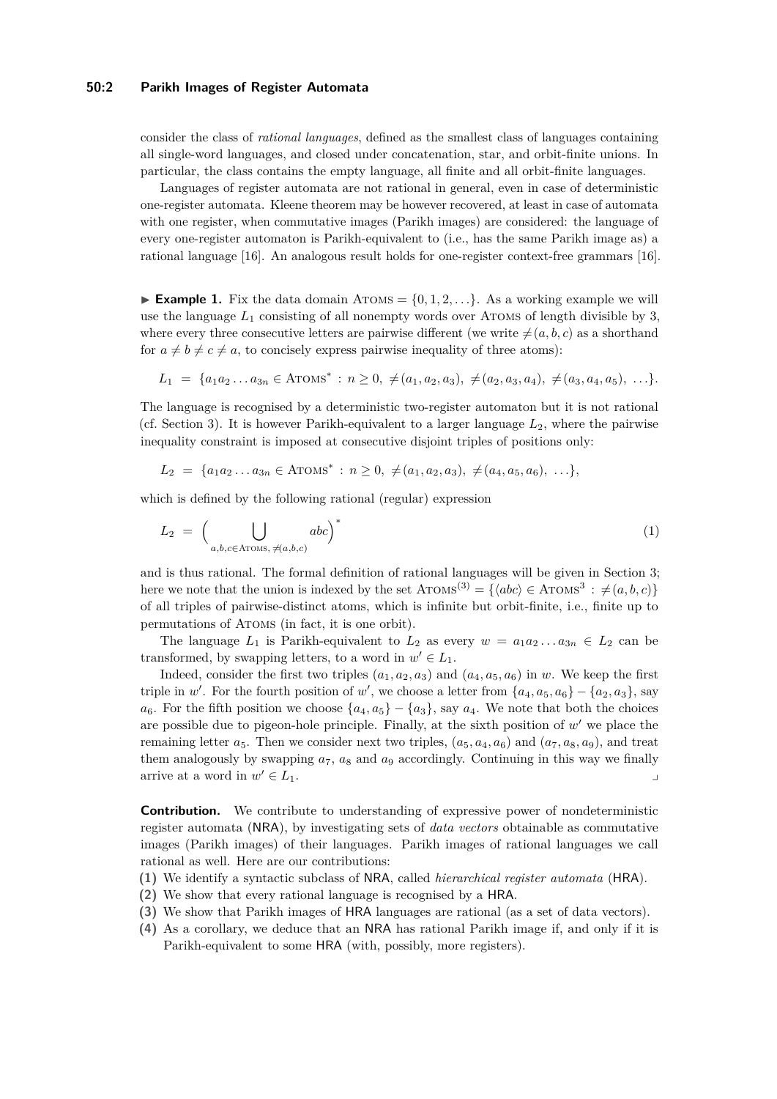#### **50:2 Parikh Images of Register Automata**

consider the class of *rational languages*, defined as the smallest class of languages containing all single-word languages, and closed under concatenation, star, and orbit-finite unions. In particular, the class contains the empty language, all finite and all orbit-finite languages.

Languages of register automata are not rational in general, even in case of deterministic one-register automata. Kleene theorem may be however recovered, at least in case of automata with one register, when commutative images (Parikh images) are considered: the language of every one-register automaton is Parikh-equivalent to (i.e., has the same Parikh image as) a rational language [\[16\]](#page-13-5). An analogous result holds for one-register context-free grammars [\[16\]](#page-13-5).

<span id="page-1-0"></span>**Example 1.** Fix the data domain ATOMS =  $\{0, 1, 2, \ldots\}$ . As a working example we will use the language  $L_1$  consisting of all nonempty words over ATOMS of length divisible by 3, where every three consecutive letters are pairwise different (we write  $\neq (a, b, c)$  as a shorthand for  $a \neq b \neq c \neq a$ , to concisely express pairwise inequality of three atoms):

$$
L_1 = \{a_1 a_2 \dots a_{3n} \in \text{ATOMS}^* : n \geq 0, \neq (a_1, a_2, a_3), \neq (a_2, a_3, a_4), \neq (a_3, a_4, a_5), \dots \}.
$$

The language is recognised by a deterministic two-register automaton but it is not rational (cf. Section [3\)](#page-3-0). It is however Parikh-equivalent to a larger language  $L_2$ , where the pairwise inequality constraint is imposed at consecutive disjoint triples of positions only:

$$
L_2 = \{a_1 a_2 \dots a_{3n} \in \text{ATOMS}^* : n \geq 0, \neq (a_1, a_2, a_3), \neq (a_4, a_5, a_6), \dots \},
$$

which is defined by the following rational (regular) expression

<span id="page-1-1"></span>
$$
L_2 = \left(\bigcup_{a,b,c \in \text{ATOMs}, \neq (a,b,c)} abc\right)^* \tag{1}
$$

and is thus rational. The formal definition of rational languages will be given in Section [3;](#page-3-0) here we note that the union is indexed by the set  $A\text{TOMS}^{(3)} = \{ \langle abc \rangle \in A\text{TOMS}^3 : \neq (a, b, c) \}$ of all triples of pairwise-distinct atoms, which is infinite but orbit-finite, i.e., finite up to permutations of Atoms (in fact, it is one orbit).

The language  $L_1$  is Parikh-equivalent to  $L_2$  as every  $w = a_1 a_2 \dots a_{3n} \in L_2$  can be transformed, by swapping letters, to a word in  $w' \in L_1$ .

Indeed, consider the first two triples  $(a_1, a_2, a_3)$  and  $(a_4, a_5, a_6)$  in *w*. We keep the first triple in *w'*. For the fourth position of *w'*, we choose a letter from  $\{a_4, a_5, a_6\} - \{a_2, a_3\}$ , say  $a_6$ . For the fifth position we choose  $\{a_4, a_5\} - \{a_3\}$ , say  $a_4$ . We note that both the choices are possible due to pigeon-hole principle. Finally, at the sixth position of *w* ′ we place the remaining letter  $a_5$ . Then we consider next two triples,  $(a_5, a_4, a_6)$  and  $(a_7, a_8, a_9)$ , and treat them analogously by swapping  $a_7$ ,  $a_8$  and  $a_9$  accordingly. Continuing in this way we finally arrive at a word in  $w' \in L_1$ .  $' \in L_1$ .

**Contribution.** We contribute to understanding of expressive power of nondeterministic register automata (NRA), by investigating sets of *data vectors* obtainable as commutative images (Parikh images) of their languages. Parikh images of rational languages we call rational as well. Here are our contributions:

- **(1)** We identify a syntactic subclass of NRA, called *hierarchical register automata* (HRA).
- **(2)** We show that every rational language is recognised by a HRA.
- **(3)** We show that Parikh images of HRA languages are rational (as a set of data vectors).
- **(4)** As a corollary, we deduce that an NRA has rational Parikh image if, and only if it is Parikh-equivalent to some HRA (with, possibly, more registers).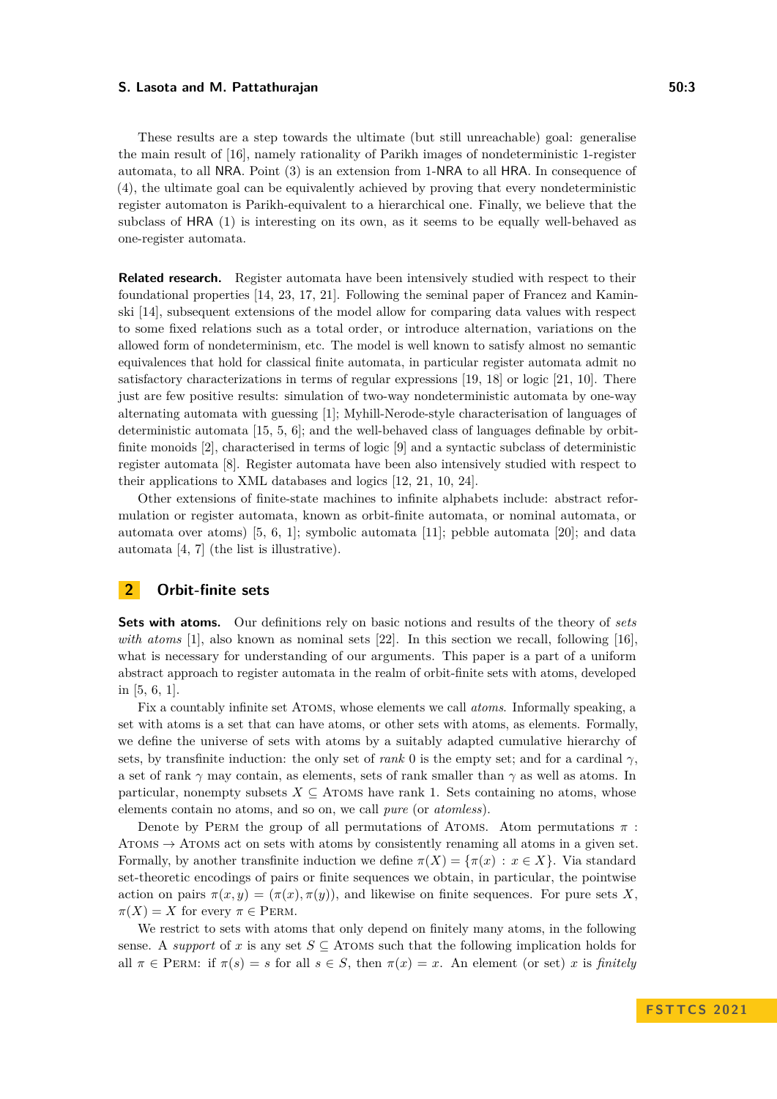These results are a step towards the ultimate (but still unreachable) goal: generalise the main result of [\[16\]](#page-13-5), namely rationality of Parikh images of nondeterministic 1-register automata, to all NRA. Point (3) is an extension from 1-NRA to all HRA. In consequence of (4), the ultimate goal can be equivalently achieved by proving that every nondeterministic register automaton is Parikh-equivalent to a hierarchical one. Finally, we believe that the subclass of HRA (1) is interesting on its own, as it seems to be equally well-behaved as one-register automata.

**Related research.** Register automata have been intensively studied with respect to their foundational properties [\[14,](#page-13-0) [23,](#page-13-6) [17,](#page-13-2) [21\]](#page-13-7). Following the seminal paper of Francez and Kaminski [\[14\]](#page-13-0), subsequent extensions of the model allow for comparing data values with respect to some fixed relations such as a total order, or introduce alternation, variations on the allowed form of nondeterminism, etc. The model is well known to satisfy almost no semantic equivalences that hold for classical finite automata, in particular register automata admit no satisfactory characterizations in terms of regular expressions [\[19,](#page-13-3) [18\]](#page-13-4) or logic [\[21,](#page-13-7) [10\]](#page-12-4). There just are few positive results: simulation of two-way nondeterministic automata by one-way alternating automata with guessing [\[1\]](#page-12-1); Myhill-Nerode-style characterisation of languages of deterministic automata [\[15,](#page-13-8) [5,](#page-12-3) [6\]](#page-12-0); and the well-behaved class of languages definable by orbitfinite monoids [\[2\]](#page-12-5), characterised in terms of logic [\[9\]](#page-12-6) and a syntactic subclass of deterministic register automata [\[8\]](#page-12-7). Register automata have been also intensively studied with respect to their applications to XML databases and logics [\[12,](#page-13-9) [21,](#page-13-7) [10,](#page-12-4) [24\]](#page-13-1).

Other extensions of finite-state machines to infinite alphabets include: abstract reformulation or register automata, known as orbit-finite automata, or nominal automata, or automata over atoms) [\[5,](#page-12-3) [6,](#page-12-0) [1\]](#page-12-1); symbolic automata [\[11\]](#page-12-8); pebble automata [\[20\]](#page-13-10); and data automata [\[4,](#page-12-9) [7\]](#page-12-10) (the list is illustrative).

## **2 Orbit-finite sets**

**Sets with atoms.** Our definitions rely on basic notions and results of the theory of *sets with atoms* [\[1\]](#page-12-1), also known as nominal sets [\[22\]](#page-13-11). In this section we recall, following [\[16\]](#page-13-5), what is necessary for understanding of our arguments. This paper is a part of a uniform abstract approach to register automata in the realm of orbit-finite sets with atoms, developed in [\[5,](#page-12-3) [6,](#page-12-0) [1\]](#page-12-1).

Fix a countably infinite set Atoms, whose elements we call *atoms*. Informally speaking, a set with atoms is a set that can have atoms, or other sets with atoms, as elements. Formally, we define the universe of sets with atoms by a suitably adapted cumulative hierarchy of sets, by transfinite induction: the only set of *rank* 0 is the empty set; and for a cardinal  $\gamma$ , a set of rank *γ* may contain, as elements, sets of rank smaller than *γ* as well as atoms. In particular, nonempty subsets  $X \subseteq$  ATOMS have rank 1. Sets containing no atoms, whose elements contain no atoms, and so on, we call *pure* (or *atomless*).

Denote by PERM the group of all permutations of ATOMS. Atom permutations  $\pi$ : ATOMS  $\rightarrow$  ATOMS act on sets with atoms by consistently renaming all atoms in a given set. Formally, by another transfinite induction we define  $\pi(X) = {\pi(x) : x \in X}$ . Via standard set-theoretic encodings of pairs or finite sequences we obtain, in particular, the pointwise action on pairs  $\pi(x, y) = (\pi(x), \pi(y))$ , and likewise on finite sequences. For pure sets X.  $\pi(X) = X$  for every  $\pi \in \text{PERM}$ .

We restrict to sets with atoms that only depend on finitely many atoms, in the following sense. A *support* of *x* is any set  $S \subseteq$  ATOMS such that the following implication holds for all  $\pi \in \text{PERM: if } \pi(s) = s \text{ for all } s \in S, \text{ then } \pi(x) = x.$  An element (or set) *x* is *finitely*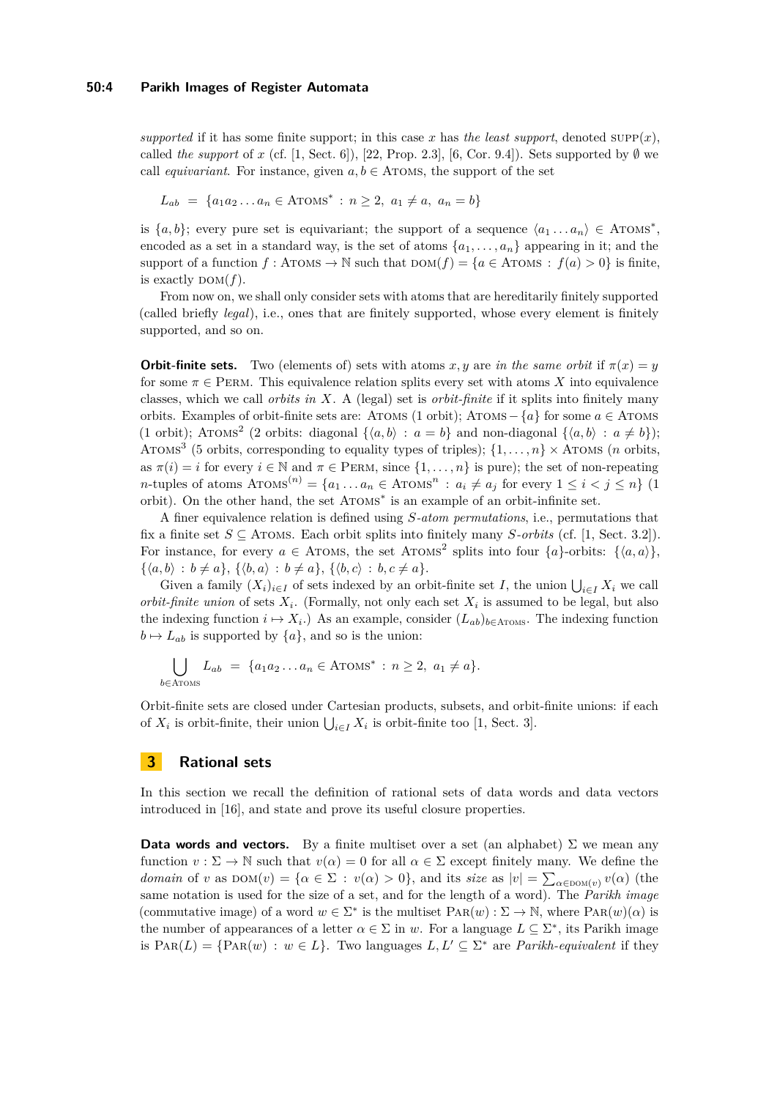*supported* if it has some finite support; in this case x has *the least support*, denoted  $\text{supp}(x)$ , called *the support* of *x* (cf. [\[1,](#page-12-1) Sect. 6]), [\[22,](#page-13-11) Prop. 2.3], [\[6,](#page-12-0) Cor. 9.4]). Sets supported by  $\emptyset$  we call *equivariant*. For instance, given  $a, b \in$  ATOMS, the support of the set

$$
L_{ab} = \{a_1 a_2 \dots a_n \in \text{ATOMS}^* : n \ge 2, a_1 \ne a, a_n = b\}
$$

is  $\{a, b\}$ ; every pure set is equivariant; the support of a sequence  $\langle a_1 \dots a_n \rangle \in A \text{TOMS}^*$ , encoded as a set in a standard way, is the set of atoms  $\{a_1, \ldots, a_n\}$  appearing in it; and the support of a function  $f : A \text{TOMS} \to \mathbb{N}$  such that  $\text{DOM}(f) = \{a \in A \text{TOMS} : f(a) > 0\}$  is finite, is exactly  $DOM(f)$ .

From now on, we shall only consider sets with atoms that are hereditarily finitely supported (called briefly *legal*), i.e., ones that are finitely supported, whose every element is finitely supported, and so on.

**Orbit-finite sets.** Two (elements of) sets with atoms *x, y* are *in the same orbit* if  $\pi(x) = y$ for some  $\pi \in \text{PERM}$ . This equivalence relation splits every set with atoms X into equivalence classes, which we call *orbits in X*. A (legal) set is *orbit-finite* if it splits into finitely many orbits. Examples of orbit-finite sets are: Atoms (1 orbit); Atoms− {*a*} for some *a* ∈ Atoms (1 orbit); ATOMS<sup>2</sup> (2 orbits: diagonal  $\{\langle a,b \rangle : a = b\}$  and non-diagonal  $\{\langle a,b \rangle : a \neq b\}$ ); ATOMS<sup>3</sup> (5 orbits, corresponding to equality types of triples);  $\{1, \ldots, n\} \times$  ATOMS (*n* orbits, as  $\pi(i) = i$  for every  $i \in \mathbb{N}$  and  $\pi \in \text{PERM}$ , since  $\{1, \ldots, n\}$  is pure); the set of non-repeating  $n$ -tuples of atoms  $A_{\text{TONS}}^{(n)} = \{a_1 \dots a_n \in A_{\text{TONS}}^{n} : a_i \neq a_j \text{ for every } 1 \leq i < j \leq n\}$  (1 orbit). On the other hand, the set ATOMS<sup>\*</sup> is an example of an orbit-infinite set.

A finer equivalence relation is defined using *S-atom permutations*, i.e., permutations that fix a finite set  $S \subseteq$  ATOMS. Each orbit splits into finitely many *S*-orbits (cf. [\[1,](#page-12-1) Sect. 3.2]). For instance, for every  $a \in \text{ATOMS}$ , the set ATOMS<sup>2</sup> splits into four  $\{a\}$ -orbits:  $\{\langle a, a \rangle\}$ ,  $\{\langle a, b \rangle : b \neq a\}, \{\langle b, a \rangle : b \neq a\}, \{\langle b, c \rangle : b, c \neq a\}.$ 

Given a family  $(X_i)_{i \in I}$  of sets indexed by an orbit-finite set *I*, the union  $\bigcup_{i \in I} X_i$  we call *orbit-finite union* of sets  $X_i$ . (Formally, not only each set  $X_i$  is assumed to be legal, but also the indexing function  $i \mapsto X_i$ .) As an example, consider  $(L_{ab})_{b \in \text{Arows}}$ . The indexing function  $b \mapsto L_{ab}$  is supported by  $\{a\}$ , and so is the union:

$$
\bigcup_{b \in \text{Arows}} L_{ab} = \{a_1 a_2 \dots a_n \in \text{Arows}^* : n \ge 2, a_1 \neq a\}.
$$

Orbit-finite sets are closed under Cartesian products, subsets, and orbit-finite unions: if each of  $X_i$  is orbit-finite, their union  $\bigcup_{i \in I} X_i$  is orbit-finite too [\[1,](#page-12-1) Sect. 3].

## <span id="page-3-0"></span>**3 Rational sets**

In this section we recall the definition of rational sets of data words and data vectors introduced in [\[16\]](#page-13-5), and state and prove its useful closure properties.

**Data words and vectors.** By a finite multiset over a set (an alphabet)  $\Sigma$  we mean any function  $v : \Sigma \to \mathbb{N}$  such that  $v(\alpha) = 0$  for all  $\alpha \in \Sigma$  except finitely many. We define the *domain* of *v* as  $\text{DOM}(v) = \{ \alpha \in \Sigma : v(\alpha) > 0 \},$  and its *size* as  $|v| = \sum_{\alpha \in \text{DOM}(v)} v(\alpha)$  (the same notation is used for the size of a set, and for the length of a word). The *Parikh image* (commutative image) of a word  $w \in \Sigma^*$  is the multiset  $\text{PaR}(w) : \Sigma \to \mathbb{N}$ , where  $\text{PaR}(w)(\alpha)$  is the number of appearances of a letter  $\alpha \in \Sigma$  in *w*. For a language  $L \subseteq \Sigma^*$ , its Parikh image is  $\text{PAR}(L) = \{\text{PAR}(w) : w \in L\}$ . Two languages  $L, L' \subseteq \Sigma^*$  are *Parikh-equivalent* if they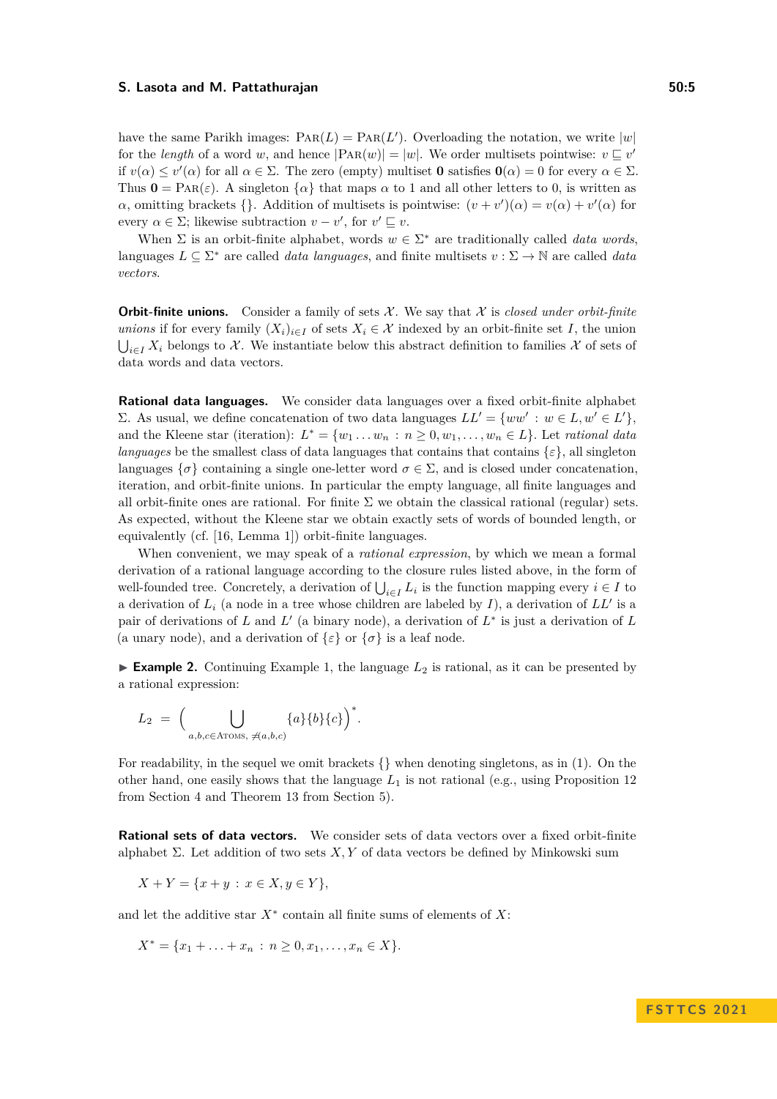have the same Parikh images:  $\text{PaR}(L) = \text{PaR}(L')$ . Overloading the notation, we write  $|w|$ for the *length* of a word *w*, and hence  $|P_{AR}(w)| = |w|$ . We order multisets pointwise:  $v \subseteq v'$ if  $v(\alpha) \le v'(\alpha)$  for all  $\alpha \in \Sigma$ . The zero (empty) multiset **0** satisfies  $\mathbf{0}(\alpha) = 0$  for every  $\alpha \in \Sigma$ . Thus  $\mathbf{0} = \text{PaR}(\varepsilon)$ . A singleton  $\{\alpha\}$  that maps  $\alpha$  to 1 and all other letters to 0, is written as *α*, omitting brackets {}. Addition of multisets is pointwise:  $(v + v')(\alpha) = v(\alpha) + v'(\alpha)$  for every  $\alpha \in \Sigma$ ; likewise subtraction  $v - v'$ , for  $v' \sqsubseteq v$ .

When  $\Sigma$  is an orbit-finite alphabet, words  $w \in \Sigma^*$  are traditionally called *data words*, languages  $L \subseteq \Sigma^*$  are called *data languages*, and finite multisets  $v : \Sigma \to \mathbb{N}$  are called *data vectors*.

**Orbit-finite unions.** Consider a family of sets  $\mathcal{X}$ . We say that  $\mathcal{X}$  is *closed under orbit-finite unions* if for every family  $(X_i)_{i \in I}$  of sets  $X_i \in \mathcal{X}$  indexed by an orbit-finite set *I*, the union  $\bigcup_{i\in I} X_i$  belongs to X. We instantiate below this abstract definition to families X of sets of data words and data vectors.

**Rational data languages.** We consider data languages over a fixed orbit-finite alphabet Σ. As usual, we define concatenation of two data languages  $LL' = \{ww' : w \in L, w' \in L'\},\$ and the Kleene star (iteration):  $L^* = \{w_1 \dots w_n : n \geq 0, w_1, \dots, w_n \in L\}$ . Let *rational data languages* be the smallest class of data languages that contains that contains  $\{\varepsilon\}$ , all singleton languages  $\{\sigma\}$  containing a single one-letter word  $\sigma \in \Sigma$ , and is closed under concatenation. iteration, and orbit-finite unions. In particular the empty language, all finite languages and all orbit-finite ones are rational. For finite  $\Sigma$  we obtain the classical rational (regular) sets. As expected, without the Kleene star we obtain exactly sets of words of bounded length, or equivalently (cf. [\[16,](#page-13-5) Lemma 1]) orbit-finite languages.

When convenient, we may speak of a *rational expression*, by which we mean a formal derivation of a rational language according to the closure rules listed above, in the form of well-founded tree. Concretely, a derivation of  $\bigcup_{i \in I} L_i$  is the function mapping every  $i \in I$  to a derivation of *L<sup>i</sup>* (a node in a tree whose children are labeled by *I*), a derivation of *LL*′ is a pair of derivations of  $L$  and  $L'$  (a binary node), a derivation of  $L^*$  is just a derivation of  $L$ (a unary node), and a derivation of  $\{\varepsilon\}$  or  $\{\sigma\}$  is a leaf node.

<span id="page-4-0"></span>**Example 2.** Continuing Example [1,](#page-1-0) the language  $L_2$  is rational, as it can be presented by a rational expression:

$$
L_2 = \Big(\bigcup_{a,b,c \in \text{ATOMS}, \ \neq (a,b,c)} \{a\}\{b\}\{c\}\Big)^*.
$$

For readability, in the sequel we omit brackets  $\{\}\$  when denoting singletons, as in [\(1\)](#page-1-1). On the other hand, one easily shows that the language *L*<sup>1</sup> is not rational (e.g., using Proposition [12](#page-8-0) from Section [4](#page-6-0) and Theorem [13](#page-8-1) from Section [5\)](#page-8-2).

**Rational sets of data vectors.** We consider sets of data vectors over a fixed orbit-finite alphabet  $\Sigma$ . Let addition of two sets  $X, Y$  of data vectors be defined by Minkowski sum

$$
X + Y = \{x + y : x \in X, y \in Y\},\
$$

and let the additive star *X*<sup>∗</sup> contain all finite sums of elements of *X*:

$$
X^* = \{x_1 + \ldots + x_n : n \ge 0, x_1, \ldots, x_n \in X\}.
$$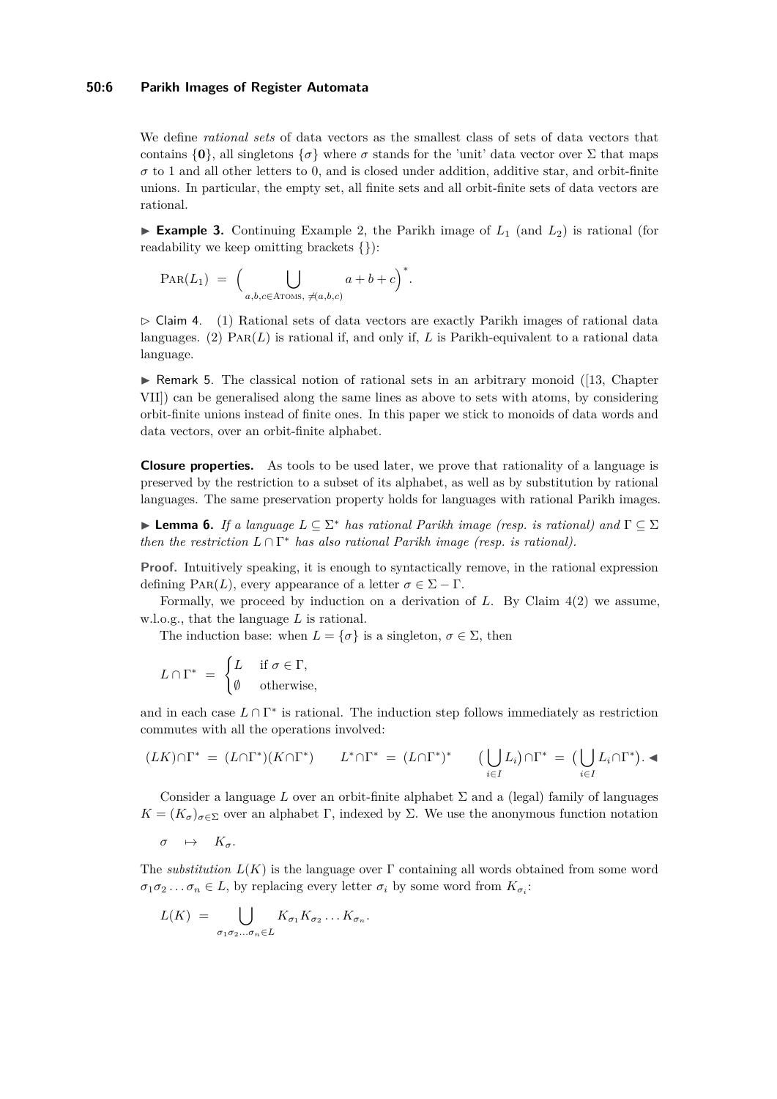#### **50:6 Parikh Images of Register Automata**

We define *rational sets* of data vectors as the smallest class of sets of data vectors that contains  $\{0\}$ , all singletons  $\{\sigma\}$  where  $\sigma$  stands for the 'unit' data vector over  $\Sigma$  that maps  $\sigma$  to 1 and all other letters to 0, and is closed under addition, additive star, and orbit-finite unions. In particular, the empty set, all finite sets and all orbit-finite sets of data vectors are rational.

**Example 3.** Continuing Example [2,](#page-4-0) the Parikh image of  $L_1$  (and  $L_2$ ) is rational (for readability we keep omitting brackets {}):

$$
PAR(L_1) = \Big( \bigcup_{a,b,c \in ATOMS, \ \nexists (a,b,c)} a+b+c \Big)^*.
$$

<span id="page-5-0"></span> $\triangleright$  Claim 4. (1) Rational sets of data vectors are exactly Parikh images of rational data languages. (2) Par(*L*) is rational if, and only if, *L* is Parikh-equivalent to a rational data language.

 $\triangleright$  Remark 5. The classical notion of rational sets in an arbitrary monoid ([\[13,](#page-13-12) Chapter VII]) can be generalised along the same lines as above to sets with atoms, by considering orbit-finite unions instead of finite ones. In this paper we stick to monoids of data words and data vectors, over an orbit-finite alphabet.

**Closure properties.** As tools to be used later, we prove that rationality of a language is preserved by the restriction to a subset of its alphabet, as well as by substitution by rational languages. The same preservation property holds for languages with rational Parikh images.

<span id="page-5-1"></span>▶ **Lemma 6.** *If a language L* ⊆ Σ <sup>∗</sup> *has rational Parikh image (resp. is rational) and* Γ ⊆ Σ *then the restriction*  $L \cap \Gamma^*$  *has also rational Parikh image (resp. is rational).* 

**Proof.** Intuitively speaking, it is enough to syntactically remove, in the rational expression defining PAR(*L*), every appearance of a letter  $\sigma \in \Sigma - \Gamma$ .

Formally, we proceed by induction on a derivation of *L*. By Claim [4\(](#page-5-0)2) we assume, w.l.o.g., that the language *L* is rational.

The induction base: when  $L = \{\sigma\}$  is a singleton,  $\sigma \in \Sigma$ , then

$$
L \cap \Gamma^* = \begin{cases} L & \text{if } \sigma \in \Gamma, \\ \emptyset & \text{otherwise,} \end{cases}
$$

and in each case  $L \cap \Gamma^*$  is rational. The induction step follows immediately as restriction commutes with all the operations involved:

$$
(LK)\cap \Gamma^* = (L\cap \Gamma^*)(K\cap \Gamma^*) \qquad L^*\cap \Gamma^* = (L\cap \Gamma^*)^* \qquad \big(\bigcup_{i\in I} L_i\big)\cap \Gamma^* = \big(\bigcup_{i\in I} L_i\cap \Gamma^*\big).
$$

Consider a language  $L$  over an orbit-finite alphabet  $\Sigma$  and a (legal) family of languages  $K = (K_{\sigma})_{\sigma \in \Sigma}$  over an alphabet Γ, indexed by Σ. We use the anonymous function notation

$$
\sigma \quad \mapsto \quad K_{\sigma}.
$$

The *substitution L*(*K*) is the language over Γ containing all words obtained from some word  $\sigma_1 \sigma_2 \ldots \sigma_n \in L$ , by replacing every letter  $\sigma_i$  by some word from  $K_{\sigma_i}$ :

$$
L(K) = \bigcup_{\sigma_1 \sigma_2 \dots \sigma_n \in L} K_{\sigma_1} K_{\sigma_2} \dots K_{\sigma_n}.
$$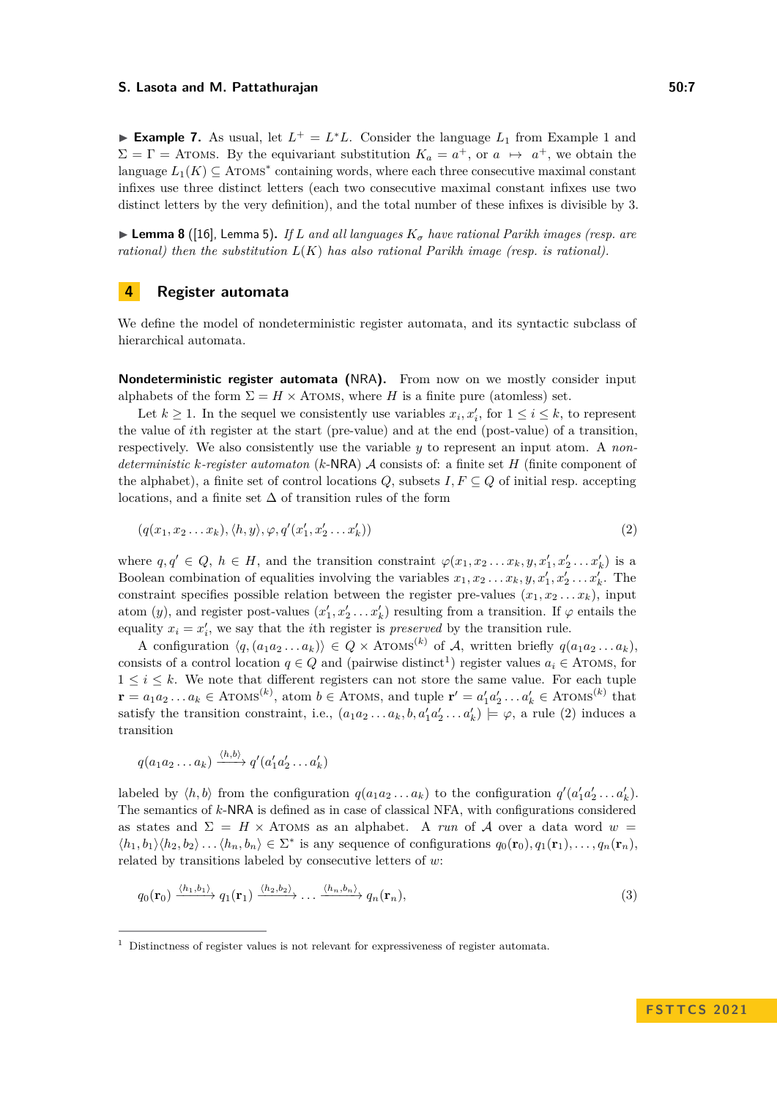▶ **Example 7.** As usual, let  $L^+ = L^*L$ . Consider the language  $L_1$  from Example [1](#page-1-0) and  $\Sigma = \Gamma =$  Aroms. By the equivariant substitution  $K_a = a^+$ , or  $a \mapsto a^+$ , we obtain the language  $L_1(K) \subseteq$  ATOMS<sup>\*</sup> containing words, where each three consecutive maximal constant infixes use three distinct letters (each two consecutive maximal constant infixes use two distinct letters by the very definition), and the total number of these infixes is divisible by 3.

<span id="page-6-4"></span> $\triangleright$  **Lemma 8** ([\[16\]](#page-13-5), Lemma 5). If *L* and all languages  $K_{\sigma}$  have rational Parikh images (resp. are *rational) then the substitution L*(*K*) *has also rational Parikh image (resp. is rational).*

## <span id="page-6-0"></span>**4 Register automata**

We define the model of nondeterministic register automata, and its syntactic subclass of hierarchical automata.

**Nondeterministic register automata (**NRA**).** From now on we mostly consider input alphabets of the form  $\Sigma = H \times$  ATOMS, where *H* is a finite pure (atomless) set.

Let  $k \geq 1$ . In the sequel we consistently use variables  $x_i, x'_i$ , for  $1 \leq i \leq k$ , to represent the value of *i*th register at the start (pre-value) and at the end (post-value) of a transition, respectively. We also consistently use the variable *y* to represent an input atom. A *nondeterministic k-register automaton* (*k*-NRA) A consists of: a finite set *H* (finite component of the alphabet), a finite set of control locations  $Q$ , subsets  $I, F \subseteq Q$  of initial resp. accepting locations, and a finite set  $\Delta$  of transition rules of the form

<span id="page-6-2"></span>
$$
(q(x_1, x_2 \ldots x_k), \langle h, y \rangle, \varphi, q'(x'_1, x'_2 \ldots x'_k))
$$
\n<sup>(2)</sup>

where  $q, q' \in Q$ ,  $h \in H$ , and the transition constraint  $\varphi(x_1, x_2 \ldots x_k, y, x'_1, x'_2 \ldots x'_k)$  is a Boolean combination of equalities involving the variables  $x_1, x_2 \ldots x_k, y, x'_1, x'_2 \ldots x'_k$ . The constraint specifies possible relation between the register pre-values  $(x_1, x_2 \ldots x_k)$ , input atom (*y*), and register post-values  $(x'_1, x'_2 \ldots x'_k)$  resulting from a transition. If  $\varphi$  entails the equality  $x_i = x'_i$ , we say that the *i*th register is *preserved* by the transition rule.

A configuration  $\langle q, (a_1a_2 \ldots a_k) \rangle \in Q \times \text{ATOMS}^{(k)}$  of A, written briefly  $q(a_1a_2 \ldots a_k)$ , consists of a control location  $q \in Q$  and (pairwise distinct<sup>[1](#page-6-1)</sup>) register values  $a_i \in A$ TOMS, for  $1 \leq i \leq k$ . We note that different registers can not store the same value. For each tuple  $\mathbf{r} = a_1 a_2 \dots a_k \in \text{ATOMS}^{(k)}$ , atom  $b \in \text{ATOMS}$ , and tuple  $\mathbf{r}' = a'_1 a'_2 \dots a'_k \in \text{ATOMS}^{(k)}$  that satisfy the transition constraint, i.e.,  $(a_1a_2 \ldots a_k, b, a'_1a'_2 \ldots a'_k) \models \varphi$ , a rule [\(2\)](#page-6-2) induces a transition

$$
q(a_1a_2\ldots a_k)\xrightarrow{\langle h,b\rangle} q'(a'_1a'_2\ldots a'_k)
$$

labeled by  $\langle h, b \rangle$  from the configuration  $q(a_1 a_2 ... a_k)$  to the configuration  $q'(a'_1 a'_2 ... a'_k)$ . The semantics of *k*-NRA is defined as in case of classical NFA, with configurations considered as states and  $\Sigma = H \times$  ATOMS as an alphabet. A *run* of A over a data word  $w =$  $\langle h_1, b_1 \rangle \langle h_2, b_2 \rangle \dots \langle h_n, b_n \rangle \in \Sigma^*$  is any sequence of configurations  $q_0(\mathbf{r}_0), q_1(\mathbf{r}_1), \dots, q_n(\mathbf{r}_n)$ , related by transitions labeled by consecutive letters of *w*:

<span id="page-6-3"></span>
$$
q_0(\mathbf{r}_0) \xrightarrow{\langle h_1, h_1 \rangle} q_1(\mathbf{r}_1) \xrightarrow{\langle h_2, h_2 \rangle} \dots \xrightarrow{\langle h_n, h_n \rangle} q_n(\mathbf{r}_n),
$$
\n(3)

<span id="page-6-1"></span> $1$  Distinctness of register values is not relevant for expressiveness of register automata.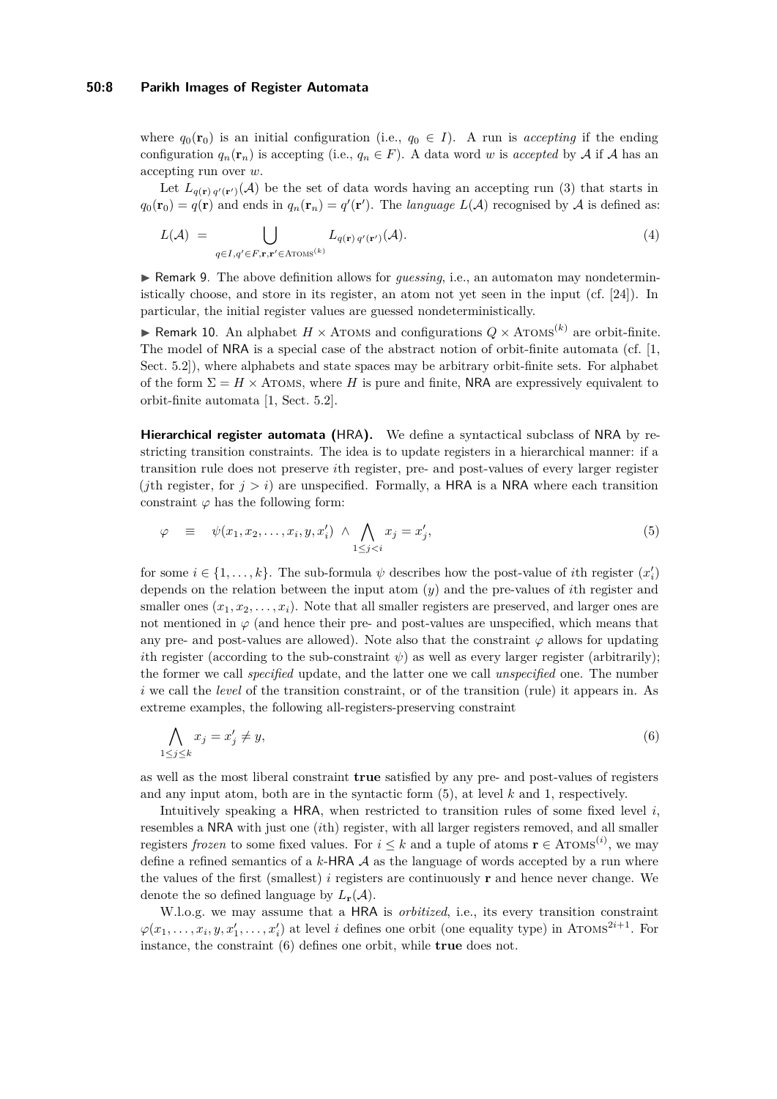#### **50:8 Parikh Images of Register Automata**

where  $q_0(\mathbf{r}_0)$  is an initial configuration (i.e.,  $q_0 \in I$ ). A run is *accepting* if the ending configuration  $q_n(\mathbf{r}_n)$  is accepting (i.e.,  $q_n \in F$ ). A data word *w* is *accepted* by A if A has an accepting run over *w*.

Let  $L_{q(\mathbf{r}) q'(\mathbf{r}')}(\mathcal{A})$  be the set of data words having an accepting run [\(3\)](#page-6-3) that starts in  $q_0(\mathbf{r}_0) = q(\mathbf{r})$  and ends in  $q_n(\mathbf{r}_n) = q'(\mathbf{r}')$ . The *language*  $L(\mathcal{A})$  recognised by  $\mathcal A$  is defined as:

$$
L(\mathcal{A}) = \bigcup_{q \in I, q' \in F, \mathbf{r}, \mathbf{r}' \in \text{Aroms}^{(k)}} L_{q(\mathbf{r}) q'(\mathbf{r}')}(\mathcal{A}).
$$
\n
$$
(4)
$$

▶ Remark 9. The above definition allows for *guessing*, i.e., an automaton may nondeterministically choose, and store in its register, an atom not yet seen in the input (cf. [\[24\]](#page-13-1)). In particular, the initial register values are guessed nondeterministically.

▶ Remark 10. An alphabet  $H \times$  ATOMS and configurations  $Q \times$  ATOMS<sup>(k)</sup> are orbit-finite. The model of NRA is a special case of the abstract notion of orbit-finite automata (cf. [\[1,](#page-12-1) Sect. 5.2]), where alphabets and state spaces may be arbitrary orbit-finite sets. For alphabet of the form  $\Sigma = H \times$  ATOMS, where *H* is pure and finite, NRA are expressively equivalent to orbit-finite automata [\[1,](#page-12-1) Sect. 5.2].

**Hierarchical register automata (**HRA**).** We define a syntactical subclass of NRA by restricting transition constraints. The idea is to update registers in a hierarchical manner: if a transition rule does not preserve *i*th register, pre- and post-values of every larger register (*j*th register, for  $j > i$ ) are unspecified. Formally, a HRA is a NRA where each transition constraint  $\varphi$  has the following form:

<span id="page-7-0"></span>
$$
\varphi \equiv \psi(x_1, x_2, \dots, x_i, y, x'_i) \wedge \bigwedge_{1 \leq j < i} x_j = x'_j,\tag{5}
$$

for some  $i \in \{1, \ldots, k\}$ . The sub-formula  $\psi$  describes how the post-value of *i*th register  $(x'_i)$ depends on the relation between the input atom (*y*) and the pre-values of *i*th register and smaller ones  $(x_1, x_2, \ldots, x_i)$ . Note that all smaller registers are preserved, and larger ones are not mentioned in  $\varphi$  (and hence their pre- and post-values are unspecified, which means that any pre- and post-values are allowed). Note also that the constraint  $\varphi$  allows for updating *i*th register (according to the sub-constraint  $\psi$ ) as well as every larger register (arbitrarily); the former we call *specified* update, and the latter one we call *unspecified* one. The number *i* we call the *level* of the transition constraint, or of the transition (rule) it appears in. As extreme examples, the following all-registers-preserving constraint

<span id="page-7-1"></span>
$$
\bigwedge_{1 \le j \le k} x_j = x'_j \neq y,\tag{6}
$$

as well as the most liberal constraint **true** satisfied by any pre- and post-values of registers and any input atom, both are in the syntactic form [\(5\)](#page-7-0), at level *k* and 1, respectively.

Intuitively speaking a HRA, when restricted to transition rules of some fixed level *i*, resembles a NRA with just one (*i*th) register, with all larger registers removed, and all smaller registers *frozen* to some fixed values. For  $i \leq k$  and a tuple of atoms  $\mathbf{r} \in \text{ATOMS}^{(i)}$ , we may define a refined semantics of a *k*-HRA A as the language of words accepted by a run where the values of the first (smallest)  $i$  registers are continuously  $\bf{r}$  and hence never change. We denote the so defined language by  $L_{\mathbf{r}}(\mathcal{A})$ .

W.l.o.g. we may assume that a HRA is *orbitized*, i.e., its every transition constraint  $\varphi(x_1,\ldots,x_i,y,x'_1,\ldots,x'_i)$  at level *i* defines one orbit (one equality type) in ATOMS<sup>2*i*+1</sup>. For instance, the constraint [\(6\)](#page-7-1) defines one orbit, while **true** does not.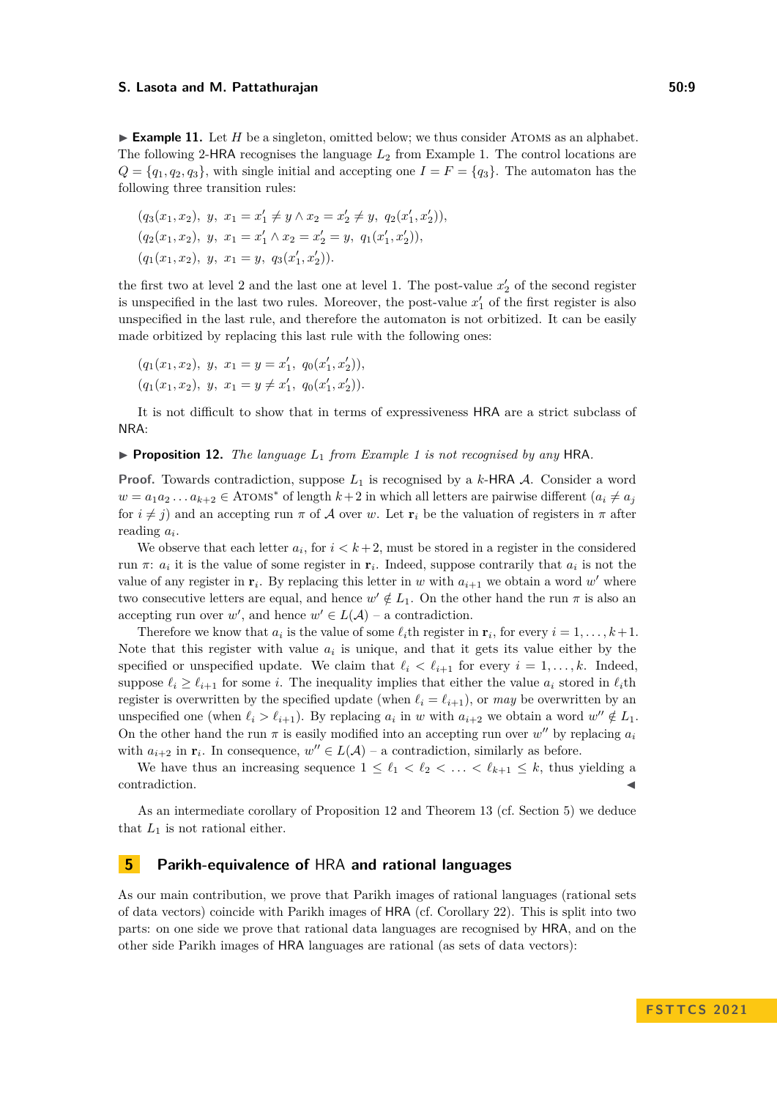$\blacktriangleright$  **Example 11.** Let *H* be a singleton, omitted below; we thus consider ATOMS as an alphabet. The following 2-HRA recognises the language *L*<sup>2</sup> from Example [1.](#page-1-0) The control locations are  $Q = \{q_1, q_2, q_3\}$ , with single initial and accepting one  $I = F = \{q_3\}$ . The automaton has the following three transition rules:

$$
(q_3(x_1, x_2), y, x_1 = x'_1 \neq y \land x_2 = x'_2 \neq y, q_2(x'_1, x'_2)),
$$
  
\n
$$
(q_2(x_1, x_2), y, x_1 = x'_1 \land x_2 = x'_2 = y, q_1(x'_1, x'_2)),
$$
  
\n
$$
(q_1(x_1, x_2), y, x_1 = y, q_3(x'_1, x'_2)).
$$

the first two at level 2 and the last one at level 1. The post-value  $x_2'$  of the second register is unspecified in the last two rules. Moreover, the post-value  $x'_{1}$  of the first register is also unspecified in the last rule, and therefore the automaton is not orbitized. It can be easily made orbitized by replacing this last rule with the following ones:

$$
(q_1(x_1, x_2), y, x_1 = y = x'_1, q_0(x'_1, x'_2)),
$$
  
\n $(q_1(x_1, x_2), y, x_1 = y \neq x'_1, q_0(x'_1, x'_2)).$ 

It is not difficult to show that in terms of expressiveness HRA are a strict subclass of NRA:

#### <span id="page-8-0"></span>▶ **Proposition 12.** *The language L*<sup>1</sup> *from Example [1](#page-1-0) is not recognised by any* HRA*.*

**Proof.** Towards contradiction, suppose *L*<sup>1</sup> is recognised by a *k*-HRA A. Consider a word  $w = a_1 a_2 \dots a_{k+2} \in \text{ATOMS}^*$  of length  $k+2$  in which all letters are pairwise different  $(a_i \neq a_j)$ for  $i \neq j$ ) and an accepting run  $\pi$  of A over *w*. Let  $\mathbf{r}_i$  be the valuation of registers in  $\pi$  after reading *a<sup>i</sup>* .

We observe that each letter  $a_i$ , for  $i < k+2$ , must be stored in a register in the considered run  $\pi$ :  $a_i$  it is the value of some register in  $\mathbf{r}_i$ . Indeed, suppose contrarily that  $a_i$  is not the value of any register in  $\mathbf{r}_i$ . By replacing this letter in *w* with  $a_{i+1}$  we obtain a word *w*' where two consecutive letters are equal, and hence  $w' \notin L_1$ . On the other hand the run  $\pi$  is also an accepting run over *w'*, and hence  $w' \in L(\mathcal{A})$  – a contradiction.

Therefore we know that  $a_i$  is the value of some  $\ell_i$ th register in  $\mathbf{r}_i$ , for every  $i = 1, \ldots, k+1$ . Note that this register with value  $a_i$  is unique, and that it gets its value either by the specified or unspecified update. We claim that  $\ell_i < \ell_{i+1}$  for every  $i = 1, \ldots, k$ . Indeed, suppose  $\ell_i \geq \ell_{i+1}$  for some *i*. The inequality implies that either the value  $a_i$  stored in  $\ell_i$ th register is overwritten by the specified update (when  $\ell_i = \ell_{i+1}$ ), or *may* be overwritten by an unspecified one (when  $\ell_i > \ell_{i+1}$ ). By replacing  $a_i$  in *w* with  $a_{i+2}$  we obtain a word  $w'' \notin L_1$ . On the other hand the run  $\pi$  is easily modified into an accepting run over  $w''$  by replacing  $a_i$ with  $a_{i+2}$  in  $\mathbf{r}_i$ . In consequence,  $w'' \in L(\mathcal{A})$  – a contradiction, similarly as before.

We have thus an increasing sequence  $1 \leq \ell_1 < \ell_2 < \ldots < \ell_{k+1} \leq k$ , thus yielding a contradiction.

As an intermediate corollary of Proposition [12](#page-8-0) and Theorem [13](#page-8-1) (cf. Section [5\)](#page-8-2) we deduce that  $L_1$  is not rational either.

## <span id="page-8-2"></span>**5 Parikh-equivalence of** HRA **and rational languages**

<span id="page-8-1"></span>As our main contribution, we prove that Parikh images of rational languages (rational sets of data vectors) coincide with Parikh images of HRA (cf. Corollary [22\)](#page-12-11). This is split into two parts: on one side we prove that rational data languages are recognised by HRA, and on the other side Parikh images of HRA languages are rational (as sets of data vectors):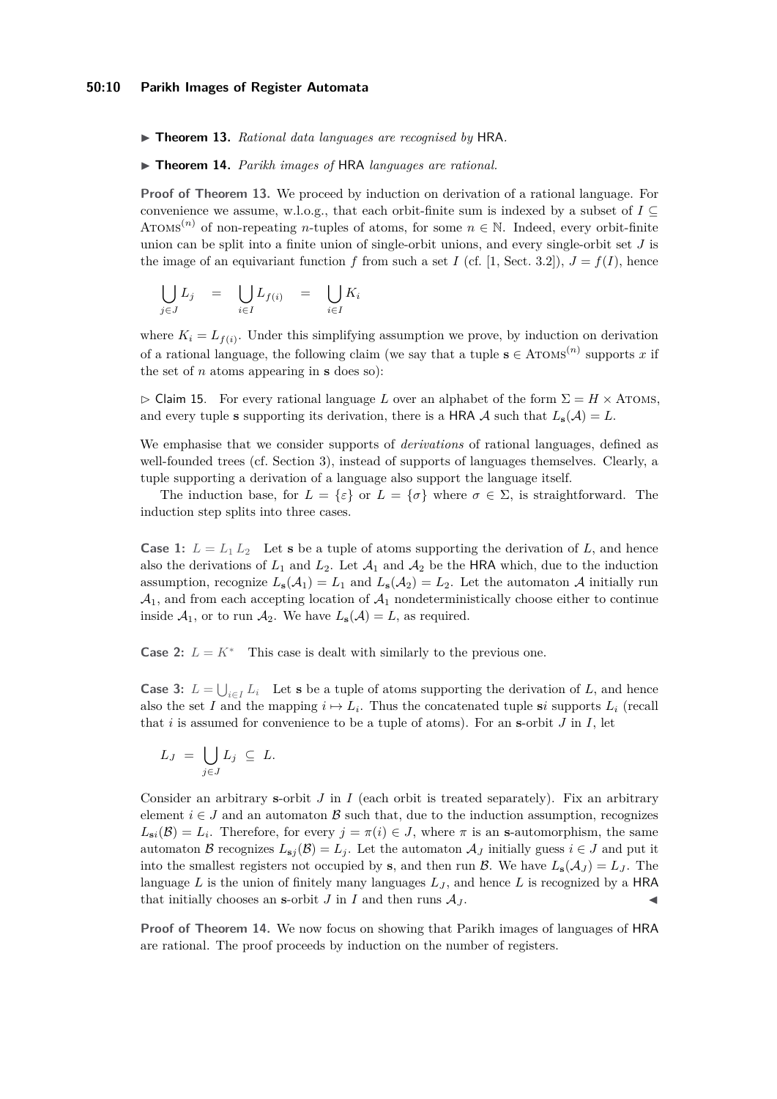▶ **Theorem 13.** *Rational data languages are recognised by* HRA*.*

<span id="page-9-0"></span>▶ **Theorem 14.** *Parikh images of* HRA *languages are rational.*

**Proof of Theorem [13.](#page-8-1)** We proceed by induction on derivation of a rational language. For convenience we assume, w.l.o.g., that each orbit-finite sum is indexed by a subset of  $I \subseteq$ ATOMS<sup>(*n*)</sup> of non-repeating *n*-tuples of atoms, for some  $n \in \mathbb{N}$ . Indeed, every orbit-finite union can be split into a finite union of single-orbit unions, and every single-orbit set *J* is the image of an equivariant function *f* from such a set *I* (cf. [\[1,](#page-12-1) Sect. 3.2]),  $J = f(I)$ , hence

$$
\bigcup_{j\in J} L_j = \bigcup_{i\in I} L_{f(i)} = \bigcup_{i\in I} K_i
$$

where  $K_i = L_{f(i)}$ . Under this simplifying assumption we prove, by induction on derivation of a rational language, the following claim (we say that a tuple  $s \in A \text{TOMS}^{(n)}$  supports x if the set of *n* atoms appearing in **s** does so):

 $\triangleright$  Claim 15. For every rational language *L* over an alphabet of the form  $\Sigma = H \times$  Aroms, and every tuple **s** supporting its derivation, there is a HRA A such that  $L_{\mathbf{s}}(\mathcal{A}) = L$ .

We emphasise that we consider supports of *derivations* of rational languages, defined as well-founded trees (cf. Section [3\)](#page-3-0), instead of supports of languages themselves. Clearly, a tuple supporting a derivation of a language also support the language itself.

The induction base, for  $L = \{\varepsilon\}$  or  $L = \{\sigma\}$  where  $\sigma \in \Sigma$ , is straightforward. The induction step splits into three cases.

**Case 1:**  $L = L_1 L_2$  Let **s** be a tuple of atoms supporting the derivation of *L*, and hence also the derivations of  $L_1$  and  $L_2$ . Let  $\mathcal{A}_1$  and  $\mathcal{A}_2$  be the HRA which, due to the induction assumption, recognize  $L_{\mathbf{s}}(\mathcal{A}_1) = L_1$  and  $L_{\mathbf{s}}(\mathcal{A}_2) = L_2$ . Let the automaton  $\mathcal{A}$  initially run  $\mathcal{A}_1$ , and from each accepting location of  $\mathcal{A}_1$  nondeterministically choose either to continue inside  $\mathcal{A}_1$ , or to run  $\mathcal{A}_2$ . We have  $L_\mathbf{s}(\mathcal{A}) = L$ , as required.

**Case 2:**  $L = K^*$  This case is dealt with similarly to the previous one.

**Case 3:**  $L = \bigcup_{i \in I} L_i$  Let **s** be a tuple of atoms supporting the derivation of *L*, and hence also the set *I* and the mapping  $i \mapsto L_i$ . Thus the concatenated tuple **s***i* supports  $L_i$  (recall that  $i$  is assumed for convenience to be a tuple of atoms). For an **s**-orbit  $J$  in  $I$ , let

$$
L_J = \bigcup_{j \in J} L_j \subseteq L.
$$

Consider an arbitrary **s**-orbit *J* in *I* (each orbit is treated separately). Fix an arbitrary element  $i \in J$  and an automaton B such that, due to the induction assumption, recognizes  $L_{\mathbf{s}i}(\mathcal{B}) = L_i$ . Therefore, for every  $j = \pi(i) \in J$ , where  $\pi$  is an **s**-automorphism, the same automaton B recognizes  $L_{\mathbf{s}j}(\mathcal{B}) = L_j$ . Let the automaton  $\mathcal{A}_J$  initially guess  $i \in J$  and put it into the smallest registers not occupied by **s**, and then run  $\mathcal{B}$ . We have  $L_{\mathbf{s}}(\mathcal{A}_J) = L_J$ . The language  $L$  is the union of finitely many languages  $L_J$ , and hence  $L$  is recognized by a HRA that initially chooses an **s**-orbit  $J$  in  $I$  and then runs  $A_J$ .

**Proof of Theorem [14.](#page-9-0)** We now focus on showing that Parikh images of languages of HRA are rational. The proof proceeds by induction on the number of registers.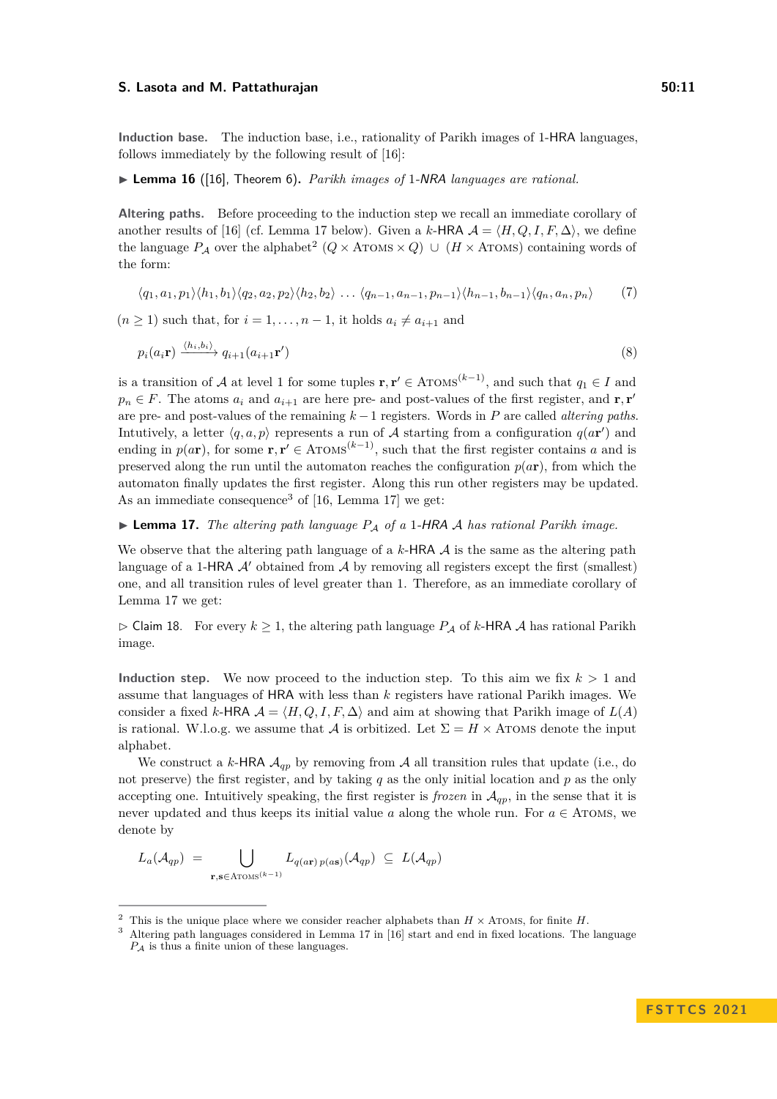#### **S.** Lasota and M. Pattathurajan 60:11 and 50:11

**Induction base.** The induction base, i.e., rationality of Parikh images of 1-HRA languages, follows immediately by the following result of [\[16\]](#page-13-5):

▶ **Lemma 16** ([\[16\]](#page-13-5), Theorem 6)**.** *Parikh images of* 1-NRA *languages are rational.*

Altering paths. Before proceeding to the induction step we recall an immediate corollary of another results of [\[16\]](#page-13-5) (cf. Lemma [17](#page-10-0) below). Given a *k*-HRA  $\mathcal{A} = \langle H, Q, I, F, \Delta \rangle$ , we define the language  $P_A$  over the alphabet<sup>[2](#page-10-1)</sup> ( $Q \times$  ATOMS  $\times$   $Q$ )  $\cup$  ( $H \times$  ATOMS) containing words of the form:

<span id="page-10-4"></span><span id="page-10-3"></span>
$$
\langle q_1, a_1, p_1 \rangle \langle h_1, b_1 \rangle \langle q_2, a_2, p_2 \rangle \langle h_2, b_2 \rangle \ldots \langle q_{n-1}, a_{n-1}, p_{n-1} \rangle \langle h_{n-1}, b_{n-1} \rangle \langle q_n, a_n, p_n \rangle \tag{7}
$$

 $(n \geq 1)$  such that, for  $i = 1, \ldots, n-1$ , it holds  $a_i \neq a_{i+1}$  and

$$
p_i(a_i\mathbf{r}) \xrightarrow{\langle h_i, b_i \rangle} q_{i+1}(a_{i+1}\mathbf{r}')
$$
\n(8)

is a transition of A at level 1 for some tuples  $\mathbf{r}, \mathbf{r}' \in \text{ATOMS}^{(k-1)}$ , and such that  $q_1 \in I$  and  $p_n \in F$ . The atoms  $a_i$  and  $a_{i+1}$  are here pre- and post-values of the first register, and **r***,* **r**<sup>*'*</sup> are pre- and post-values of the remaining *k* −1 registers. Words in *P* are called *altering paths*. Intutively, a letter  $\langle q, a, p \rangle$  represents a run of A starting from a configuration  $q(a\mathbf{r}')$  and ending in  $p(a\mathbf{r})$ , for some  $\mathbf{r}, \mathbf{r}' \in \text{ATOMS}^{(k-1)}$ , such that the first register contains *a* and is preserved along the run until the automaton reaches the configuration  $p(a\mathbf{r})$ , from which the automaton finally updates the first register. Along this run other registers may be updated. As an immediate consequence<sup>[3](#page-10-2)</sup> of [\[16,](#page-13-5) Lemma 17] we get:

<span id="page-10-0"></span>▶ **Lemma 17.** *The altering path language P*<sup>A</sup> *of a* 1-HRA A *has rational Parikh image.*

We observe that the altering path language of a  $k$ -HRA  $\mathcal A$  is the same as the altering path language of a 1-HRA  $\mathcal{A}'$  obtained from  $\mathcal{A}$  by removing all registers except the first (smallest) one, and all transition rules of level greater than 1. Therefore, as an immediate corollary of Lemma [17](#page-10-0) we get:

<span id="page-10-5"></span> $\triangleright$  Claim 18. For every  $k \geq 1$ , the altering path language  $P_A$  of k-HRA A has rational Parikh image.

**Induction step.** We now proceed to the induction step. To this aim we fix  $k > 1$  and assume that languages of HRA with less than *k* registers have rational Parikh images. We consider a fixed *k*-HRA  $A = \langle H, Q, I, F, \Delta \rangle$  and aim at showing that Parikh image of  $L(A)$ is rational. W.l.o.g. we assume that A is orbitized. Let  $\Sigma = H \times$  ATOMS denote the input alphabet.

We construct a *k*-HRA  $A_{qp}$  by removing from A all transition rules that update (i.e., do not preserve) the first register, and by taking *q* as the only initial location and *p* as the only accepting one. Intuitively speaking, the first register is *frozen* in  $A_{qp}$ , in the sense that it is never updated and thus keeps its initial value  $a$  along the whole run. For  $a \in ATOMS$ , we denote by

$$
L_a(\mathcal{A}_{qp}) = \bigcup_{\mathbf{r},\mathbf{s} \in \text{Atoms}^{(k-1)}} L_{q(\mathbf{ar})p(\mathbf{as})}(\mathcal{A}_{qp}) \subseteq L(\mathcal{A}_{qp})
$$

<span id="page-10-1"></span><sup>&</sup>lt;sup>2</sup> This is the unique place where we consider reacher alphabets than  $H \times$  ATOMS, for finite  $H$ .

<span id="page-10-2"></span><sup>3</sup> Altering path languages considered in Lemma 17 in [\[16\]](#page-13-5) start and end in fixed locations. The language *P*<sup>A</sup> is thus a finite union of these languages.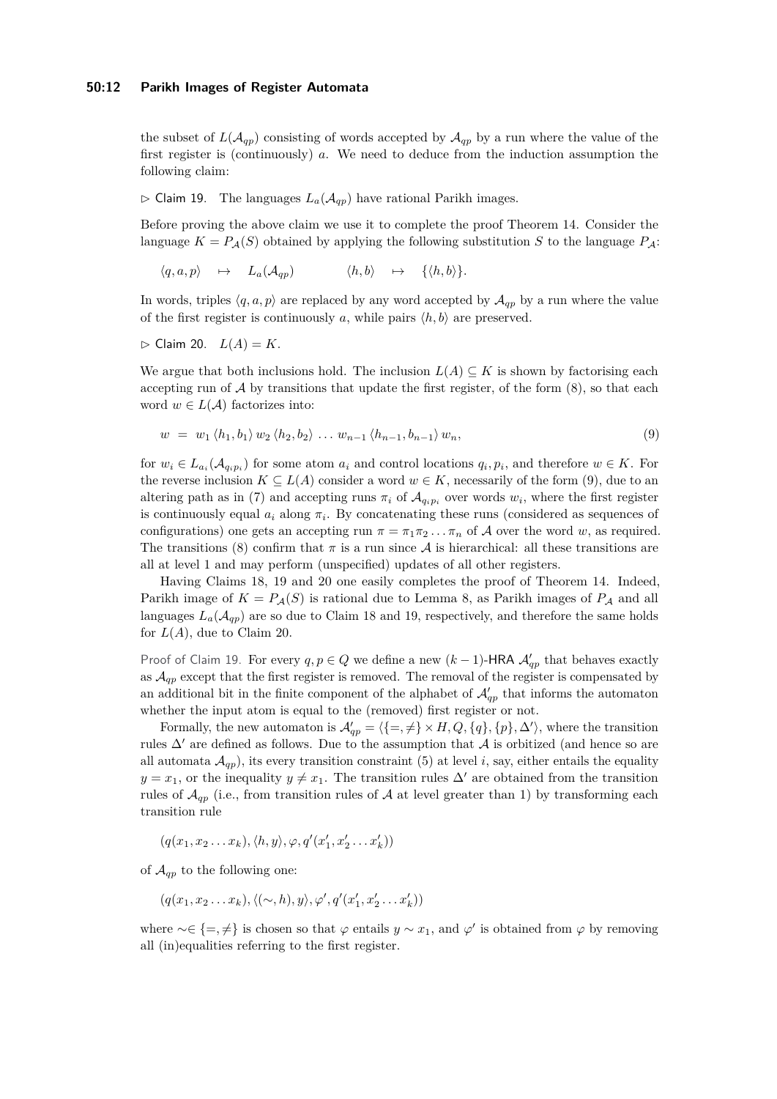#### **50:12 Parikh Images of Register Automata**

the subset of  $L(\mathcal{A}_{qp})$  consisting of words accepted by  $\mathcal{A}_{qp}$  by a run where the value of the first register is (continuously) *a*. We need to deduce from the induction assumption the following claim:

### <span id="page-11-1"></span> $\triangleright$  Claim 19. The languages  $L_a(\mathcal{A}_{qp})$  have rational Parikh images.

Before proving the above claim we use it to complete the proof Theorem [14.](#page-9-0) Consider the language  $K = P_{\mathcal{A}}(S)$  obtained by applying the following substitution *S* to the language  $P_{\mathcal{A}}$ :

 $\langle q, a, p \rangle \quad \mapsto \quad L_a(\mathcal{A}_{qn}) \qquad \langle h, b \rangle \quad \mapsto \quad \{ \langle h, b \rangle \}.$ 

In words, triples  $\langle q, a, p \rangle$  are replaced by any word accepted by  $\mathcal{A}_{qp}$  by a run where the value of the first register is continuously *a*, while pairs  $\langle h, b \rangle$  are preserved.

<span id="page-11-2"></span> $\triangleright$  Claim 20.  $L(A) = K$ .

We argue that both inclusions hold. The inclusion  $L(A) \subseteq K$  is shown by factorising each accepting run of  $A$  by transitions that update the first register, of the form  $(8)$ , so that each word  $w \in L(\mathcal{A})$  factorizes into:

<span id="page-11-0"></span>
$$
w = w_1 \langle h_1, b_1 \rangle w_2 \langle h_2, b_2 \rangle \dots w_{n-1} \langle h_{n-1}, b_{n-1} \rangle w_n,
$$
\n
$$
(9)
$$

for  $w_i \in L_{a_i}(\mathcal{A}_{q_i p_i})$  for some atom  $a_i$  and control locations  $q_i, p_i$ , and therefore  $w \in K$ . For the reverse inclusion  $K \subseteq L(A)$  consider a word  $w \in K$ , necessarily of the form [\(9\)](#page-11-0), due to an altering path as in [\(7\)](#page-10-4) and accepting runs  $\pi_i$  of  $\mathcal{A}_{q_i p_i}$  over words  $w_i$ , where the first register is continuously equal  $a_i$  along  $\pi_i$ . By concatenating these runs (considered as sequences of configurations) one gets an accepting run  $\pi = \pi_1 \pi_2 \dots \pi_n$  of A over the word *w*, as required. The transitions [\(8\)](#page-10-3) confirm that  $\pi$  is a run since A is hierarchical: all these transitions are all at level 1 and may perform (unspecified) updates of all other registers.

Having Claims [18,](#page-10-5) [19](#page-11-1) and [20](#page-11-2) one easily completes the proof of Theorem [14.](#page-9-0) Indeed, Parikh image of  $K = P_{\mathcal{A}}(S)$  is rational due to Lemma [8,](#page-6-4) as Parikh images of  $P_{\mathcal{A}}$  and all languages  $L_a(\mathcal{A}_{qp})$  are so due to Claim [18](#page-10-5) and [19,](#page-11-1) respectively, and therefore the same holds for  $L(A)$ , due to Claim [20.](#page-11-2)

Proof of Claim [19.](#page-11-1) For every  $q, p \in Q$  we define a new  $(k-1)$ -HRA  $\mathcal{A}'_{qp}$  that behaves exactly as  $\mathcal{A}_{qp}$  except that the first register is removed. The removal of the register is compensated by an additional bit in the finite component of the alphabet of  $\mathcal{A}'_{qp}$  that informs the automaton whether the input atom is equal to the (removed) first register or not.

Formally, the new automaton is  $\mathcal{A}'_{qp} = \langle \{=, \neq\} \times H, Q, \{q\}, \{p\}, \Delta' \rangle$ , where the transition rules  $\Delta'$  are defined as follows. Due to the assumption that  $\cal A$  is orbitized (and hence so are all automata  $\mathcal{A}_{qp}$ ), its every transition constraint [\(5\)](#page-7-0) at level *i*, say, either entails the equality  $y = x_1$ , or the inequality  $y \neq x_1$ . The transition rules  $\Delta'$  are obtained from the transition rules of  $\mathcal{A}_{qp}$  (i.e., from transition rules of  $\mathcal A$  at level greater than 1) by transforming each transition rule

 $(q(x_1, x_2 \ldots x_k), \langle h, y \rangle, \varphi, q'(x'_1, x'_2 \ldots x'_k))$ 

of  $\mathcal{A}_{qp}$  to the following one:

$$
(q(x_1,x_2...x_k),\langle(\sim,h),y\rangle,\varphi',q'(x_1',x_2'...x_k'))
$$

where  $\sim \in \{ =, \neq \}$  is chosen so that  $\varphi$  entails  $y \sim x_1$ , and  $\varphi'$  is obtained from  $\varphi$  by removing all (in)equalities referring to the first register.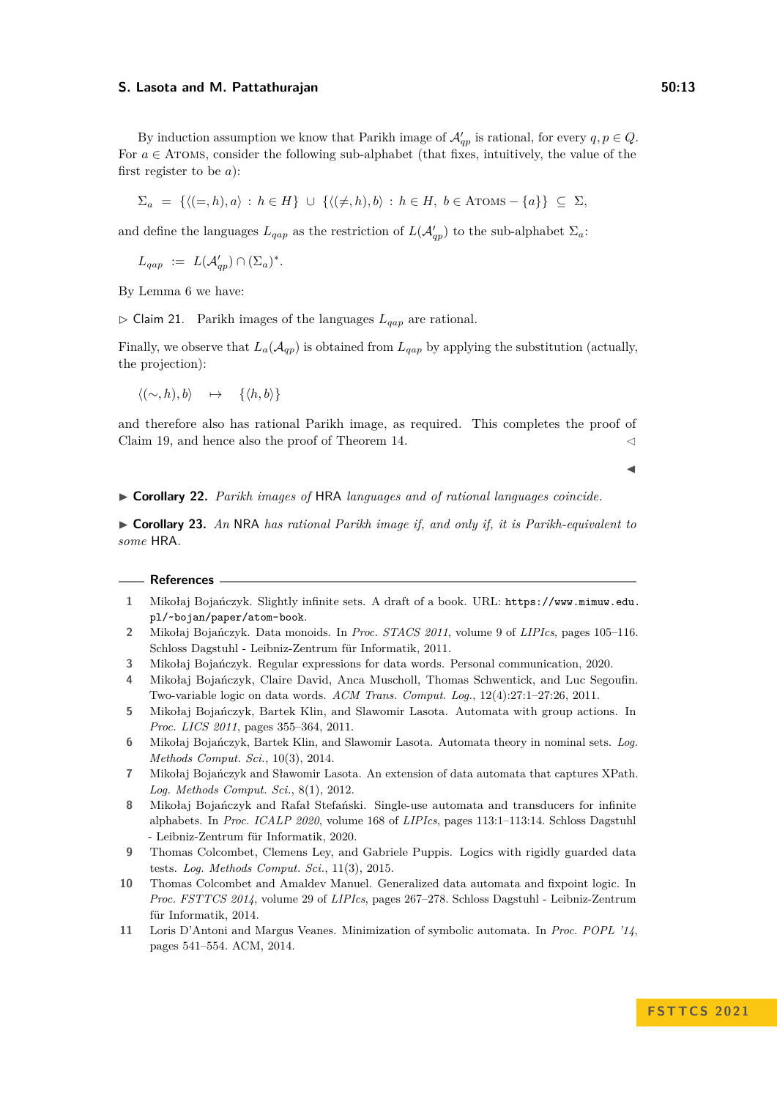By induction assumption we know that Parikh image of  $\mathcal{A}'_{qp}$  is rational, for every  $q, p \in Q$ . For  $a \in$  ATOMS, consider the following sub-alphabet (that fixes, intuitively, the value of the first register to be *a*):

$$
\Sigma_a = \{ \langle (=,h), a \rangle : h \in H \} \cup \{ \langle (\neq, h), b \rangle : h \in H, b \in \text{ATOMS} - \{a\} \} \subseteq \Sigma,
$$

and define the languages  $L_{qap}$  as the restriction of  $L(\mathcal{A}'_{qp})$  to the sub-alphabet  $\Sigma_a$ :

 $L_{qap}$  :=  $L(\mathcal{A}_{qp}') \cap (\Sigma_a)^*$ .

By Lemma [6](#page-5-1) we have:

▷ Claim 21. Parikh images of the languages *Lqap* are rational.

Finally, we observe that  $L_a(\mathcal{A}_{qp})$  is obtained from  $L_{qap}$  by applying the substitution (actually, the projection):

 $\langle (\sim, h), b \rangle$   $\mapsto$  { $\langle h, b \rangle$ }

and therefore also has rational Parikh image, as required. This completes the proof of Claim [19,](#page-11-1) and hence also the proof of Theorem [14.](#page-9-0)  $\lhd$ 

◀

<span id="page-12-11"></span>▶ **Corollary 22.** *Parikh images of* HRA *languages and of rational languages coincide.*

▶ **Corollary 23.** *An* NRA *has rational Parikh image if, and only if, it is Parikh-equivalent to some* HRA*.*

#### **References**

- <span id="page-12-1"></span>**1** Mikołaj Bojańczyk. Slightly infinite sets. A draft of a book. URL: [https://www.mimuw.edu.](https://www.mimuw.edu.pl/~bojan/paper/atom-book) [pl/~bojan/paper/atom-book](https://www.mimuw.edu.pl/~bojan/paper/atom-book).
- <span id="page-12-5"></span>**2** Mikołaj Bojańczyk. Data monoids. In *Proc. STACS 2011*, volume 9 of *LIPIcs*, pages 105–116. Schloss Dagstuhl - Leibniz-Zentrum für Informatik, 2011.
- <span id="page-12-2"></span>**3** Mikołaj Bojańczyk. Regular expressions for data words. Personal communication, 2020.
- <span id="page-12-9"></span>**4** Mikołaj Bojańczyk, Claire David, Anca Muscholl, Thomas Schwentick, and Luc Segoufin. Two-variable logic on data words. *ACM Trans. Comput. Log.*, 12(4):27:1–27:26, 2011.
- <span id="page-12-3"></span>**5** Mikołaj Bojańczyk, Bartek Klin, and Slawomir Lasota. Automata with group actions. In *Proc. LICS 2011*, pages 355–364, 2011.
- <span id="page-12-0"></span>**6** Mikołaj Bojańczyk, Bartek Klin, and Slawomir Lasota. Automata theory in nominal sets. *Log. Methods Comput. Sci.*, 10(3), 2014.
- <span id="page-12-10"></span>**7** Mikołaj Bojańczyk and Sławomir Lasota. An extension of data automata that captures XPath. *Log. Methods Comput. Sci.*, 8(1), 2012.
- <span id="page-12-7"></span>**8** Mikołaj Bojańczyk and Rafał Stefański. Single-use automata and transducers for infinite alphabets. In *Proc. ICALP 2020*, volume 168 of *LIPIcs*, pages 113:1–113:14. Schloss Dagstuhl - Leibniz-Zentrum für Informatik, 2020.
- <span id="page-12-6"></span>**9** Thomas Colcombet, Clemens Ley, and Gabriele Puppis. Logics with rigidly guarded data tests. *Log. Methods Comput. Sci.*, 11(3), 2015.
- <span id="page-12-4"></span>**10** Thomas Colcombet and Amaldev Manuel. Generalized data automata and fixpoint logic. In *Proc. FSTTCS 2014*, volume 29 of *LIPIcs*, pages 267–278. Schloss Dagstuhl - Leibniz-Zentrum für Informatik, 2014.
- <span id="page-12-8"></span>**11** Loris D'Antoni and Margus Veanes. Minimization of symbolic automata. In *Proc. POPL '14*, pages 541–554. ACM, 2014.